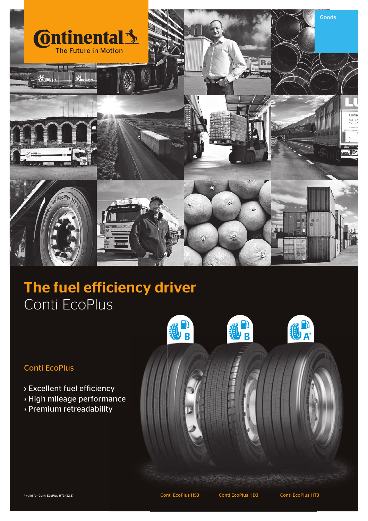

# The fuel efficiency driver Conti EcoPlus

### Conti EcoPlus

- › Excellent fuel efficiency
- › High mileage performance
- › Premium retreadability

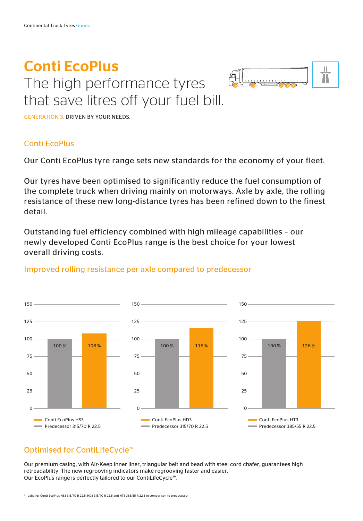# Conti EcoPlus The high performance tyres that save litres off your fuel bill.



GENERATION 3. DRIVEN BY YOUR NEEDS.

### Conti EcoPlus

Our Conti EcoPlus tyre range sets new standards for the economy of your fleet.

Our tyres have been optimised to significantly reduce the fuel consumption of the complete truck when driving mainly on motorways. Axle by axle, the rolling resistance of these new long-distance tyres has been refined down to the finest detail.

Outstanding fuel efficiency combined with high mileage capabilities – our newly developed Conti EcoPlus range is the best choice for your lowest overall driving costs.



#### Improved rolling resistance per axle compared to predecessor

## Optimised for ContiLifeCycle™

Our premium casing, with Air-Keep inner liner, triangular belt and bead with steel cord chafer, guarantees high retreadability. The new regrooving indicators make regrooving faster and easier. Our EcoPlus range is perfectly tailored to our ContiLifeCycle™.

\* valid for Conti EcoPlus HS3 315/70 R 22.5, HD3 315/70 R 22.5 and HT3 385/55 R 22.5 in comparison to predecessor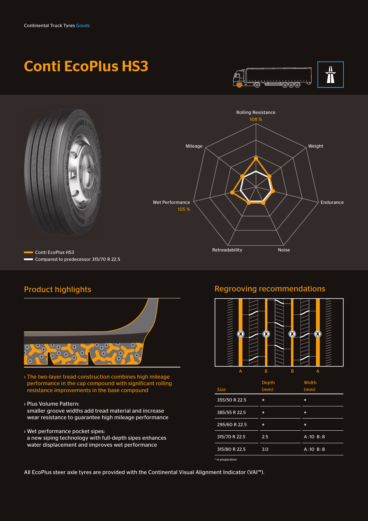# Conti EcoPlus HS3





## Product highlights



- › The two-layer tread construction combines high mileage performance in the cap compound with significant rolling resistance improvements in the base compound
- › Plus Volume Pattern:
- smaller groove widths add tread material and increase wear resistance to guarantee high mileage performance
- › Wet performance pocket sipes:
- a new siping technology with full-depth sipes enhances water displacement and improves wet performance

#### Regrooving recommendations



All EcoPlus steer axle tyres are provided with the Continental Visual Alignment Indicator (VAI™).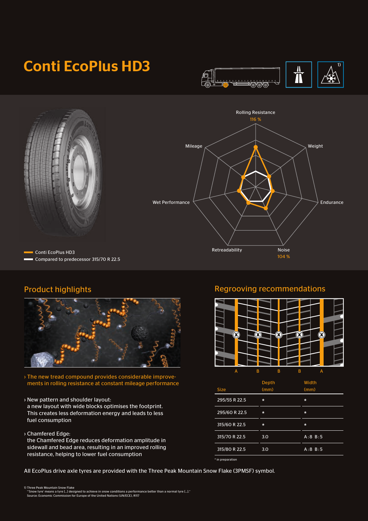# Conti EcoPlus HD3



Rolling Resistance 116 %



Conti EcoPlus HD3 Compared to predecessor 315/70 R 22.5



› The new tread compound provides considerable improvements in rolling resistance at constant mileage performance

- › New pattern and shoulder layout:
- a new layout with wide blocks optimises the footprint. This creates less deformation energy and leads to less fuel consumption
- › Chamfered Edge:

the Chamfered Edge reduces deformation amplitude in sidewall and bead area, resulting in an improved rolling resistance, helping to lower fuel consumption

All EcoPlus drive axle tyres are provided with the Three Peak Mountain Snow Flake (3PMSF) symbol.

Wet Performance

Mileage

## Product highlights **Regrooving recommendations**

104 %

Weight

Endurance

Retreadability Noise



| <b>Size</b>   | Depth<br>(mm) | Width<br>(mm) |
|---------------|---------------|---------------|
| 295/55 R 22.5 | $\ast$        | $\star$       |
| 295/60 R 22.5 | $\ast$        | $\star$       |
| 315/60 R 22.5 | $\star$       | $\star$       |
| 315/70 R 22.5 | 3.0           | A:8 B:5       |
| 315/80 R 22.5 | 3.0           | A:8 B:5       |

\* in preparation

1) Three Peak Mountain Snow Flake<br>- "Snow tyre' means a tyre [...] designed to achieve in snow conditions a performance better than a normal tyre [...]."<br>- Source: Economic Commission for Europe of the United Nations (UN/E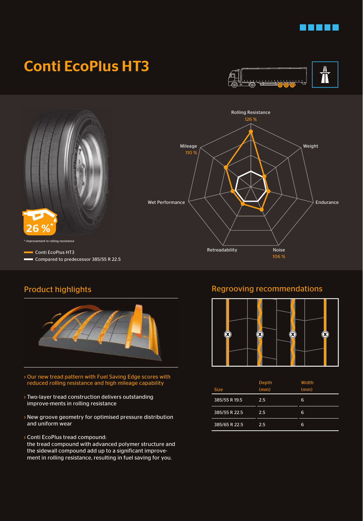

## Conti EcoPlus HT3





## Product highlights



- › Our new tread pattern with Fuel Saving Edge scores with reduced rolling resistance and high mileage capability
- › Two-layer tread construction delivers outstanding improve-ments in rolling resistance
- › New groove geometry for optimised pressure distribution and uniform wear
- › Conti EcoPlus tread compound:

the tread compound with advanced polymer structure and the sidewall compound add up to a significant improvement in rolling resistance, resulting in fuel saving for you.

### Regrooving recommendations



| <b>Size</b>   | <b>Depth</b><br>(mm) | Width<br>(mm) |
|---------------|----------------------|---------------|
| 385/55 R 19.5 | 2.5                  | 6             |
| 385/55 R 22.5 | 2.5                  | 6             |
| 385/65 R 22.5 | 2.5                  | 6             |